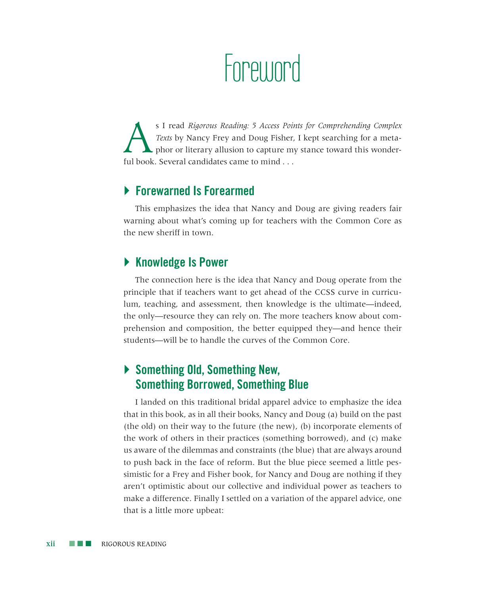# Foreword

s I read *Rigorous Reading: 5 Access Points for Comprehending Complex Texts* by Nancy Frey and Doug Fisher, I kept searching for a meta-<br>phor or literary allusion to capture my stance toward this wonder-*Texts* by Nancy Frey and Doug Fisher, I kept searching for a metaphor or literary allusion to capture my stance toward this wonderful book. Several candidates came to mind . . .

## ▶ Forewarned Is Forearmed

This emphasizes the idea that Nancy and Doug are giving readers fair warning about what's coming up for teachers with the Common Core as the new sheriff in town.

## ▶ Knowledge Is Power

The connection here is the idea that Nancy and Doug operate from the principle that if teachers want to get ahead of the CCSS curve in curriculum, teaching, and assessment, then knowledge is the ultimate—indeed, the only—resource they can rely on. The more teachers know about comprehension and composition, the better equipped they—and hence their students—will be to handle the curves of the Common Core.

# ▶ Something Old, Something New, Something Borrowed, Something Blue

I landed on this traditional bridal apparel advice to emphasize the idea that in this book, as in all their books, Nancy and Doug (a) build on the past (the old) on their way to the future (the new), (b) incorporate elements of the work of others in their practices (something borrowed), and (c) make us aware of the dilemmas and constraints (the blue) that are always around to push back in the face of reform. But the blue piece seemed a little pessimistic for a Frey and Fisher book, for Nancy and Doug are nothing if they aren't optimistic about our collective and individual power as teachers to make a difference. Finally I settled on a variation of the apparel advice, one that is a little more upbeat: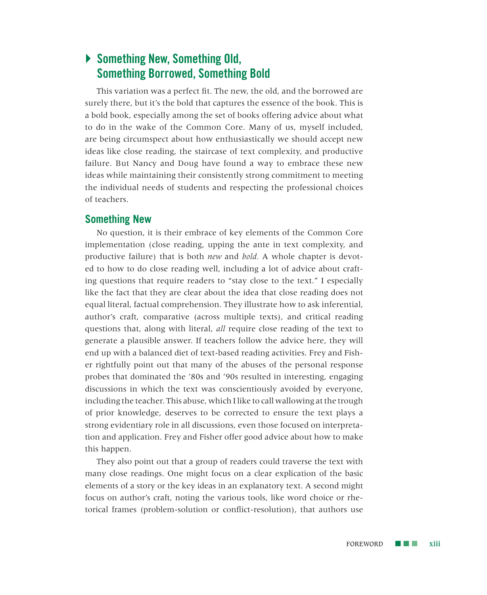# ▶ Something New, Something Old, Something Borrowed, Something Bold

This variation was a perfect fit. The new, the old, and the borrowed are surely there, but it's the bold that captures the essence of the book. This is a bold book, especially among the set of books offering advice about what to do in the wake of the Common Core. Many of us, myself included, are being circumspect about how enthusiastically we should accept new ideas like close reading, the staircase of text complexity, and productive failure. But Nancy and Doug have found a way to embrace these new ideas while maintaining their consistently strong commitment to meeting the individual needs of students and respecting the professional choices of teachers.

#### **Something New**

No question, it is their embrace of key elements of the Common Core implementation (close reading, upping the ante in text complexity, and productive failure) that is both *new* and *bold.* A whole chapter is devoted to how to do close reading well, including a lot of advice about crafting questions that require readers to "stay close to the text." I especially like the fact that they are clear about the idea that close reading does not equal literal, factual comprehension. They illustrate how to ask inferential, author's craft, comparative (across multiple texts), and critical reading questions that, along with literal, *all* require close reading of the text to generate a plausible answer. If teachers follow the advice here, they will end up with a balanced diet of text-based reading activities. Frey and Fisher rightfully point out that many of the abuses of the personal response probes that dominated the '80s and '90s resulted in interesting, engaging discussions in which the text was conscientiously avoided by everyone, including the teacher. This abuse, which I like to call wallowing at the trough of prior knowledge, deserves to be corrected to ensure the text plays a strong evidentiary role in all discussions, even those focused on interpretation and application. Frey and Fisher offer good advice about how to make this happen.

They also point out that a group of readers could traverse the text with many close readings. One might focus on a clear explication of the basic elements of a story or the key ideas in an explanatory text. A second might focus on author's craft, noting the various tools, like word choice or rhetorical frames (problem-solution or conflict-resolution), that authors use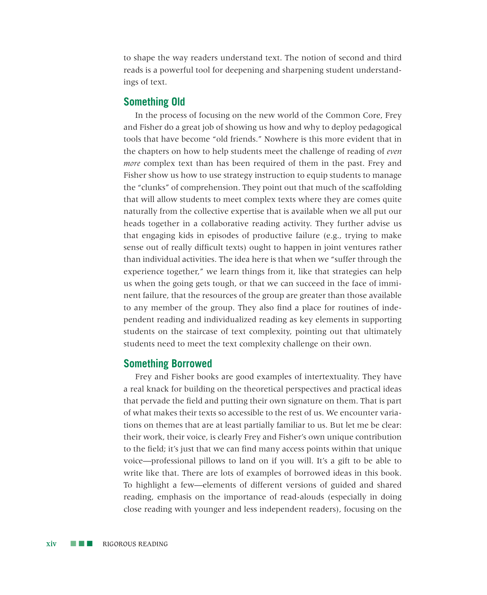to shape the way readers understand text. The notion of second and third reads is a powerful tool for deepening and sharpening student understandings of text.

#### **Something Old**

In the process of focusing on the new world of the Common Core, Frey and Fisher do a great job of showing us how and why to deploy pedagogical tools that have become "old friends." Nowhere is this more evident that in the chapters on how to help students meet the challenge of reading of *even more* complex text than has been required of them in the past. Frey and Fisher show us how to use strategy instruction to equip students to manage the "clunks" of comprehension. They point out that much of the scaffolding that will allow students to meet complex texts where they are comes quite naturally from the collective expertise that is available when we all put our heads together in a collaborative reading activity. They further advise us that engaging kids in episodes of productive failure (e.g., trying to make sense out of really difficult texts) ought to happen in joint ventures rather than individual activities. The idea here is that when we "suffer through the experience together," we learn things from it, like that strategies can help us when the going gets tough, or that we can succeed in the face of imminent failure, that the resources of the group are greater than those available to any member of the group. They also find a place for routines of independent reading and individualized reading as key elements in supporting students on the staircase of text complexity, pointing out that ultimately students need to meet the text complexity challenge on their own.

#### **Something Borrowed**

Frey and Fisher books are good examples of intertextuality. They have a real knack for building on the theoretical perspectives and practical ideas that pervade the field and putting their own signature on them. That is part of what makes their texts so accessible to the rest of us. We encounter variations on themes that are at least partially familiar to us. But let me be clear: their work, their voice, is clearly Frey and Fisher's own unique contribution to the field; it's just that we can find many access points within that unique voice—professional pillows to land on if you will. It's a gift to be able to write like that. There are lots of examples of borrowed ideas in this book. To highlight a few—elements of different versions of guided and shared reading, emphasis on the importance of read-alouds (especially in doing close reading with younger and less independent readers), focusing on the